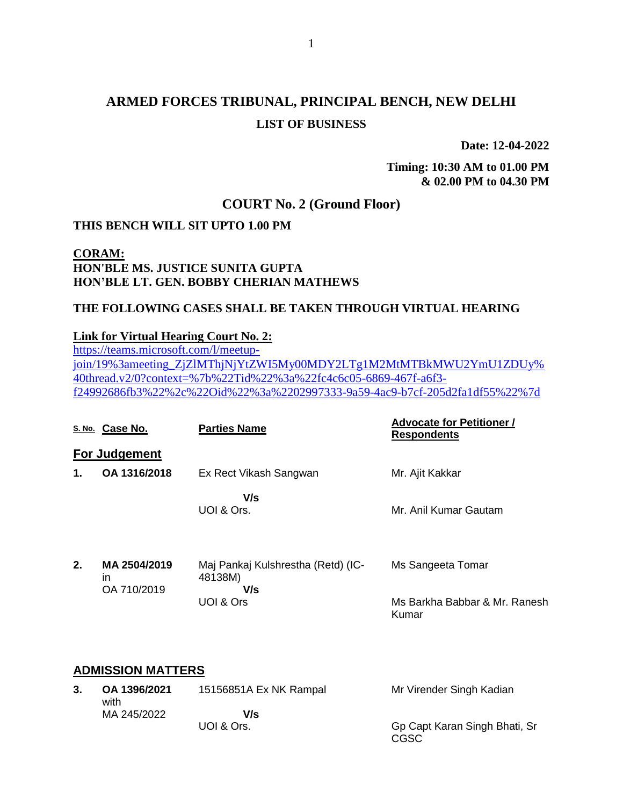# **ARMED FORCES TRIBUNAL, PRINCIPAL BENCH, NEW DELHI LIST OF BUSINESS**

**Date: 12-04-2022**

**Timing: 10:30 AM to 01.00 PM & 02.00 PM to 04.30 PM**

# **COURT No. 2 (Ground Floor)**

#### **THIS BENCH WILL SIT UPTO 1.00 PM**

## **CORAM: HON'BLE MS. JUSTICE SUNITA GUPTA HON'BLE LT. GEN. BOBBY CHERIAN MATHEWS**

#### **THE FOLLOWING CASES SHALL BE TAKEN THROUGH VIRTUAL HEARING**

#### **Link for Virtual Hearing Court No. 2:**

[https://teams.microsoft.com/l/meetup](https://teams.microsoft.com/l/meetup-join/19%3ameeting_ZjZlMThjNjYtZWI5My00MDY2LTg1M2MtMTBkMWU2YmU1ZDUy%40thread.v2/0?context=%7b%22Tid%22%3a%22fc4c6c05-6869-467f-a6f3-f24992686fb3%22%2c%22Oid%22%3a%2202997333-9a59-4ac9-b7cf-205d2fa1df55%22%7d)[join/19%3ameeting\\_ZjZlMThjNjYtZWI5My00MDY2LTg1M2MtMTBkMWU2YmU1ZDUy%](https://teams.microsoft.com/l/meetup-join/19%3ameeting_ZjZlMThjNjYtZWI5My00MDY2LTg1M2MtMTBkMWU2YmU1ZDUy%40thread.v2/0?context=%7b%22Tid%22%3a%22fc4c6c05-6869-467f-a6f3-f24992686fb3%22%2c%22Oid%22%3a%2202997333-9a59-4ac9-b7cf-205d2fa1df55%22%7d) [40thread.v2/0?context=%7b%22Tid%22%3a%22fc4c6c05-6869-467f-a6f3](https://teams.microsoft.com/l/meetup-join/19%3ameeting_ZjZlMThjNjYtZWI5My00MDY2LTg1M2MtMTBkMWU2YmU1ZDUy%40thread.v2/0?context=%7b%22Tid%22%3a%22fc4c6c05-6869-467f-a6f3-f24992686fb3%22%2c%22Oid%22%3a%2202997333-9a59-4ac9-b7cf-205d2fa1df55%22%7d) [f24992686fb3%22%2c%22Oid%22%3a%2202997333-9a59-4ac9-b7cf-205d2fa1df55%22%7d](https://teams.microsoft.com/l/meetup-join/19%3ameeting_ZjZlMThjNjYtZWI5My00MDY2LTg1M2MtMTBkMWU2YmU1ZDUy%40thread.v2/0?context=%7b%22Tid%22%3a%22fc4c6c05-6869-467f-a6f3-f24992686fb3%22%2c%22Oid%22%3a%2202997333-9a59-4ac9-b7cf-205d2fa1df55%22%7d)

|    | S. No. Case No.                   | <b>Parties Name</b>                                  | <b>Advocate for Petitioner /</b><br><b>Respondents</b> |
|----|-----------------------------------|------------------------------------------------------|--------------------------------------------------------|
|    | <b>For Judgement</b>              |                                                      |                                                        |
| 1. | OA 1316/2018                      | Ex Rect Vikash Sangwan                               | Mr. Ajit Kakkar                                        |
|    |                                   | V/s<br>UOI & Ors.                                    | Mr. Anil Kumar Gautam                                  |
| 2. | MA 2504/2019<br>ın<br>OA 710/2019 | Maj Pankaj Kulshrestha (Retd) (IC-<br>48138M)<br>V/s | Ms Sangeeta Tomar                                      |
|    |                                   | UOI & Ors                                            | Ms Barkha Babbar & Mr. Ranesh<br>Kumar                 |

#### **ADMISSION MATTERS**

| OA 1396/2021<br>with | 15156851A Ex NK Rampal | Mr Virender Singh Kadian              |
|----------------------|------------------------|---------------------------------------|
| MA 245/2022          | V/s                    |                                       |
|                      | UOI & Ors.             | Gp Capt Karan Singh Bhati, Sr<br>CGSC |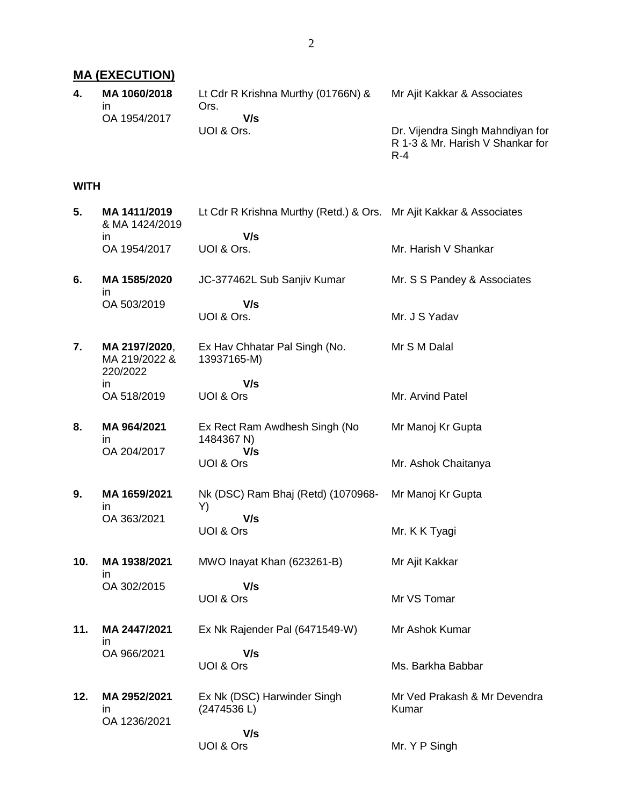#### **MA (EXECUTION) 4. MA 1060/2018** Lt Cdr R Krishna Murthy (01766N) &

in OA 1954/2017 Ors.  **V/s** UOI & Ors. Mr Ajit Kakkar & Associates Dr. Vijendra Singh Mahndiyan for R 1-3 & Mr. Harish V Shankar for

R-4

#### **WITH**

| 5.  | MA 1411/2019<br>& MA 1424/2019             | Lt Cdr R Krishna Murthy (Retd.) & Ors. Mr Ajit Kakkar & Associates |                                       |
|-----|--------------------------------------------|--------------------------------------------------------------------|---------------------------------------|
|     | ın<br>OA 1954/2017                         | V/s<br>UOI & Ors.                                                  | Mr. Harish V Shankar                  |
| 6.  | MA 1585/2020<br>in                         | JC-377462L Sub Sanjiv Kumar                                        | Mr. S S Pandey & Associates           |
|     | OA 503/2019                                | V/s<br>UOI & Ors.                                                  | Mr. J S Yadav                         |
| 7.  | MA 2197/2020,<br>MA 219/2022 &<br>220/2022 | Ex Hav Chhatar Pal Singh (No.<br>13937165-M)                       | Mr S M Dalal                          |
|     | in<br>OA 518/2019                          | V/s<br>UOI & Ors                                                   | Mr. Arvind Patel                      |
|     |                                            |                                                                    |                                       |
| 8.  | MA 964/2021<br>in<br>OA 204/2017           | Ex Rect Ram Awdhesh Singh (No<br>1484367 N)<br>V/s                 | Mr Manoj Kr Gupta                     |
|     |                                            | UOI & Ors                                                          | Mr. Ashok Chaitanya                   |
| 9.  | MA 1659/2021<br>in                         | Nk (DSC) Ram Bhaj (Retd) (1070968-<br>Y)                           | Mr Manoj Kr Gupta                     |
|     | OA 363/2021                                | V/s<br>UOI & Ors                                                   | Mr. K K Tyagi                         |
| 10. | MA 1938/2021<br>in                         | MWO Inayat Khan (623261-B)                                         | Mr Ajit Kakkar                        |
|     | OA 302/2015                                | V/s<br>UOI & Ors                                                   | Mr VS Tomar                           |
| 11. | MA 2447/2021<br>in                         | Ex Nk Rajender Pal (6471549-W)                                     | Mr Ashok Kumar                        |
|     | OA 966/2021                                | V/s<br>UOI & Ors                                                   | Ms. Barkha Babbar                     |
| 12. | MA 2952/2021<br>in<br>OA 1236/2021         | Ex Nk (DSC) Harwinder Singh<br>(2474536L)                          | Mr Ved Prakash & Mr Devendra<br>Kumar |
|     |                                            | V/s<br>UOI & Ors                                                   | Mr. Y P Singh                         |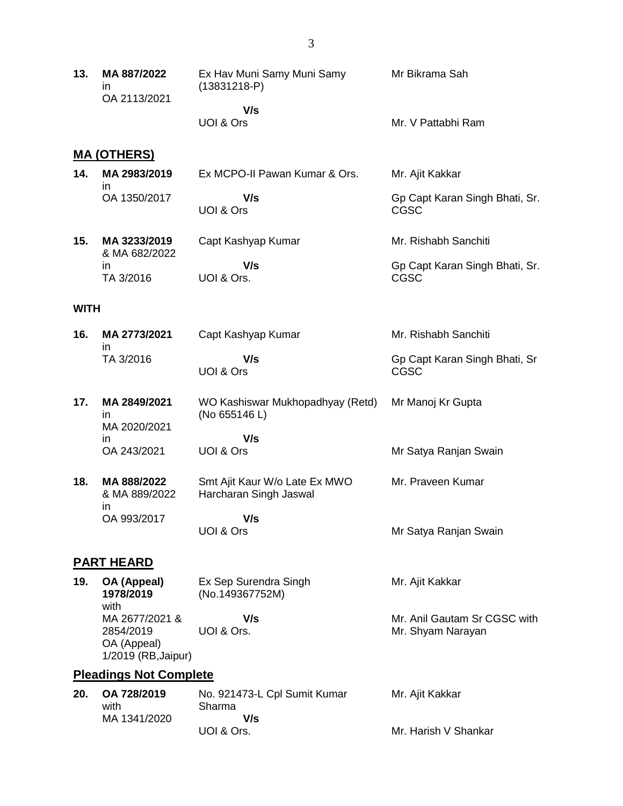| 13.         | MA 887/2022<br>in<br>OA 2113/2021                                 | Ex Hav Muni Samy Muni Samy<br>$(13831218-P)$            | Mr Bikrama Sah                                    |
|-------------|-------------------------------------------------------------------|---------------------------------------------------------|---------------------------------------------------|
|             |                                                                   | V/s<br>UOI & Ors                                        | Mr. V Pattabhi Ram                                |
|             | <u>MA (OTHERS)</u>                                                |                                                         |                                                   |
| 14.         | MA 2983/2019<br>in                                                | Ex MCPO-II Pawan Kumar & Ors.                           | Mr. Ajit Kakkar                                   |
|             | OA 1350/2017                                                      | V/s<br>UOI & Ors                                        | Gp Capt Karan Singh Bhati, Sr.<br><b>CGSC</b>     |
| 15.         | MA 3233/2019<br>& MA 682/2022                                     | Capt Kashyap Kumar                                      | Mr. Rishabh Sanchiti                              |
|             | in<br>TA 3/2016                                                   | V/s<br>UOI & Ors.                                       | Gp Capt Karan Singh Bhati, Sr.<br><b>CGSC</b>     |
| <b>WITH</b> |                                                                   |                                                         |                                                   |
| 16.         | MA 2773/2021<br>in                                                | Capt Kashyap Kumar                                      | Mr. Rishabh Sanchiti                              |
|             | TA 3/2016                                                         | V/s<br>UOI & Ors                                        | Gp Capt Karan Singh Bhati, Sr<br><b>CGSC</b>      |
| 17.         | MA 2849/2021<br>in<br>MA 2020/2021                                | WO Kashiswar Mukhopadhyay (Retd)<br>(No 655146 L)       | Mr Manoj Kr Gupta                                 |
|             | in<br>OA 243/2021                                                 | V/s<br>UOI & Ors                                        | Mr Satya Ranjan Swain                             |
| 18.         | MA 888/2022<br>& MA 889/2022<br>in                                | Smt Ajit Kaur W/o Late Ex MWO<br>Harcharan Singh Jaswal | Mr. Praveen Kumar                                 |
|             | OA 993/2017                                                       | V/s<br>UOI & Ors                                        | Mr Satya Ranjan Swain                             |
|             | <b>PART HEARD</b>                                                 |                                                         |                                                   |
| 19.         | OA (Appeal)<br>1978/2019<br>with                                  | Ex Sep Surendra Singh<br>(No.149367752M)                | Mr. Ajit Kakkar                                   |
|             | MA 2677/2021 &<br>2854/2019<br>OA (Appeal)<br>1/2019 (RB, Jaipur) | V/s<br>UOI & Ors.                                       | Mr. Anil Gautam Sr CGSC with<br>Mr. Shyam Narayan |
|             | <b>Pleadings Not Complete</b>                                     |                                                         |                                                   |
| 20.         | OA 728/2019<br>with<br>MA 1341/2020                               | No. 921473-L Cpl Sumit Kumar<br>Sharma<br>V/s           | Mr. Ajit Kakkar                                   |
|             |                                                                   | UOI & Ors.                                              | Mr. Harish V Shankar                              |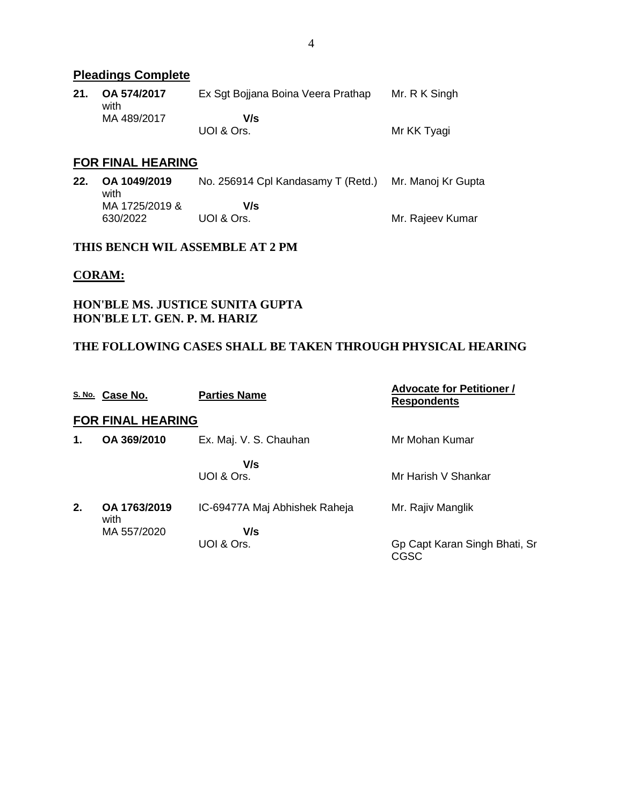# **Pleadings Complete**

| 21. | OA 574/2017<br>with | Ex Sgt Bojjana Boina Veera Prathap | Mr. R K Singh |
|-----|---------------------|------------------------------------|---------------|
|     | MA 489/2017         | V/s                                |               |
|     |                     | UOI & Ors.                         | Mr KK Tyagi   |

### **FOR FINAL HEARING**

| 22. | OA 1049/2019<br>with       | No. 256914 Cpl Kandasamy T (Retd.) | Mr. Manoj Kr Gupta |
|-----|----------------------------|------------------------------------|--------------------|
|     | MA 1725/2019 &<br>630/2022 | V/s<br>UOI & Ors.                  | Mr. Rajeev Kumar   |

### **THIS BENCH WIL ASSEMBLE AT 2 PM**

#### **CORAM:**

## **HON'BLE MS. JUSTICE SUNITA GUPTA HON'BLE LT. GEN. P. M. HARIZ**

## **THE FOLLOWING CASES SHALL BE TAKEN THROUGH PHYSICAL HEARING**

|    | S. No. Case No.          | <b>Parties Name</b>           | <b>Advocate for Petitioner /</b><br><b>Respondents</b> |
|----|--------------------------|-------------------------------|--------------------------------------------------------|
|    | <b>FOR FINAL HEARING</b> |                               |                                                        |
| 1. | OA 369/2010              | Ex. Maj. V. S. Chauhan        | Mr Mohan Kumar                                         |
|    |                          | V/s<br>UOI & Ors.             | Mr Harish V Shankar                                    |
| 2. | OA 1763/2019<br>with     | IC-69477A Maj Abhishek Raheja | Mr. Rajiv Manglik                                      |
|    | MA 557/2020              | V/s<br>UOI & Ors.             | Gp Capt Karan Singh Bhati, Sr<br>CGSC                  |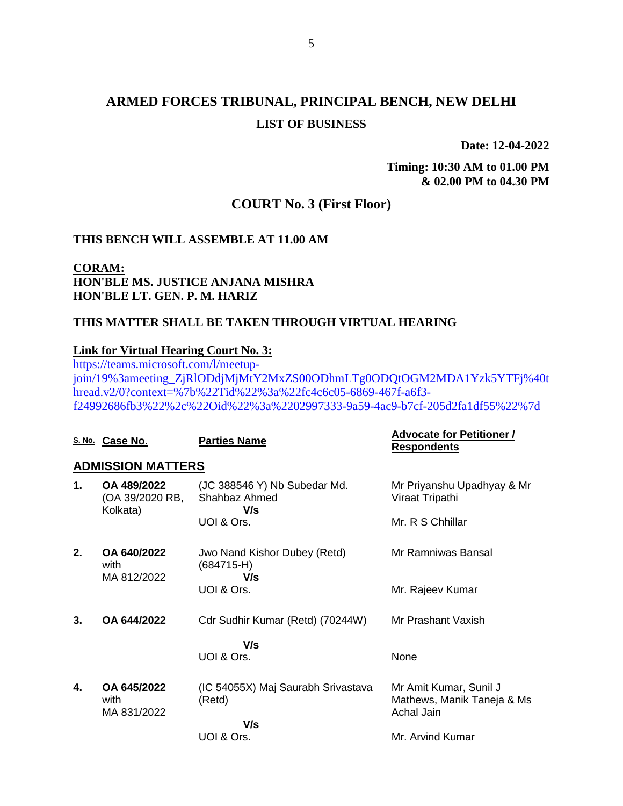# **ARMED FORCES TRIBUNAL, PRINCIPAL BENCH, NEW DELHI LIST OF BUSINESS**

**Date: 12-04-2022**

**Timing: 10:30 AM to 01.00 PM & 02.00 PM to 04.30 PM**

# **COURT No. 3 (First Floor)**

#### **THIS BENCH WILL ASSEMBLE AT 11.00 AM**

**CORAM: HON'BLE MS. JUSTICE ANJANA MISHRA HON'BLE LT. GEN. P. M. HARIZ**

#### **THIS MATTER SHALL BE TAKEN THROUGH VIRTUAL HEARING**

#### **Link for Virtual Hearing Court No. 3:**

[https://teams.microsoft.com/l/meetup](https://teams.microsoft.com/l/meetup-join/19%3ameeting_ZjRlODdjMjMtY2MxZS00ODhmLTg0ODQtOGM2MDA1Yzk5YTFj%40thread.v2/0?context=%7b%22Tid%22%3a%22fc4c6c05-6869-467f-a6f3-f24992686fb3%22%2c%22Oid%22%3a%2202997333-9a59-4ac9-b7cf-205d2fa1df55%22%7d)[join/19%3ameeting\\_ZjRlODdjMjMtY2MxZS00ODhmLTg0ODQtOGM2MDA1Yzk5YTFj%40t](https://teams.microsoft.com/l/meetup-join/19%3ameeting_ZjRlODdjMjMtY2MxZS00ODhmLTg0ODQtOGM2MDA1Yzk5YTFj%40thread.v2/0?context=%7b%22Tid%22%3a%22fc4c6c05-6869-467f-a6f3-f24992686fb3%22%2c%22Oid%22%3a%2202997333-9a59-4ac9-b7cf-205d2fa1df55%22%7d) [hread.v2/0?context=%7b%22Tid%22%3a%22fc4c6c05-6869-467f-a6f3](https://teams.microsoft.com/l/meetup-join/19%3ameeting_ZjRlODdjMjMtY2MxZS00ODhmLTg0ODQtOGM2MDA1Yzk5YTFj%40thread.v2/0?context=%7b%22Tid%22%3a%22fc4c6c05-6869-467f-a6f3-f24992686fb3%22%2c%22Oid%22%3a%2202997333-9a59-4ac9-b7cf-205d2fa1df55%22%7d) [f24992686fb3%22%2c%22Oid%22%3a%2202997333-9a59-4ac9-b7cf-205d2fa1df55%22%7d](https://teams.microsoft.com/l/meetup-join/19%3ameeting_ZjRlODdjMjMtY2MxZS00ODhmLTg0ODQtOGM2MDA1Yzk5YTFj%40thread.v2/0?context=%7b%22Tid%22%3a%22fc4c6c05-6869-467f-a6f3-f24992686fb3%22%2c%22Oid%22%3a%2202997333-9a59-4ac9-b7cf-205d2fa1df55%22%7d)

|               | S. No. Case No.                            | <b>Parties Name</b>                                  | <b>Advocate for Petitioner /</b><br><b>Respondents</b>             |
|---------------|--------------------------------------------|------------------------------------------------------|--------------------------------------------------------------------|
|               | <b>ADMISSION MATTERS</b>                   |                                                      |                                                                    |
| $\mathbf 1$ . | OA 489/2022<br>(OA 39/2020 RB,<br>Kolkata) | (JC 388546 Y) Nb Subedar Md.<br>Shahbaz Ahmed<br>V/s | Mr Priyanshu Upadhyay & Mr<br>Viraat Tripathi                      |
|               |                                            | UOI & Ors.                                           | Mr. R S Chhillar                                                   |
| 2.            | OA 640/2022<br>with<br>MA 812/2022         | Jwo Nand Kishor Dubey (Retd)<br>$(684715-H)$<br>V/s  | Mr Ramniwas Bansal                                                 |
|               |                                            | UOI & Ors.                                           | Mr. Rajeev Kumar                                                   |
| 3.            | OA 644/2022                                | Cdr Sudhir Kumar (Retd) (70244W)                     | Mr Prashant Vaxish                                                 |
|               |                                            | V/s<br>UOI & Ors.                                    | None                                                               |
| 4.            | OA 645/2022<br>with<br>MA 831/2022         | (IC 54055X) Maj Saurabh Srivastava<br>(Retd)         | Mr Amit Kumar, Sunil J<br>Mathews, Manik Taneja & Ms<br>Achal Jain |
|               |                                            | V/s<br>UOI & Ors.                                    | Mr. Arvind Kumar                                                   |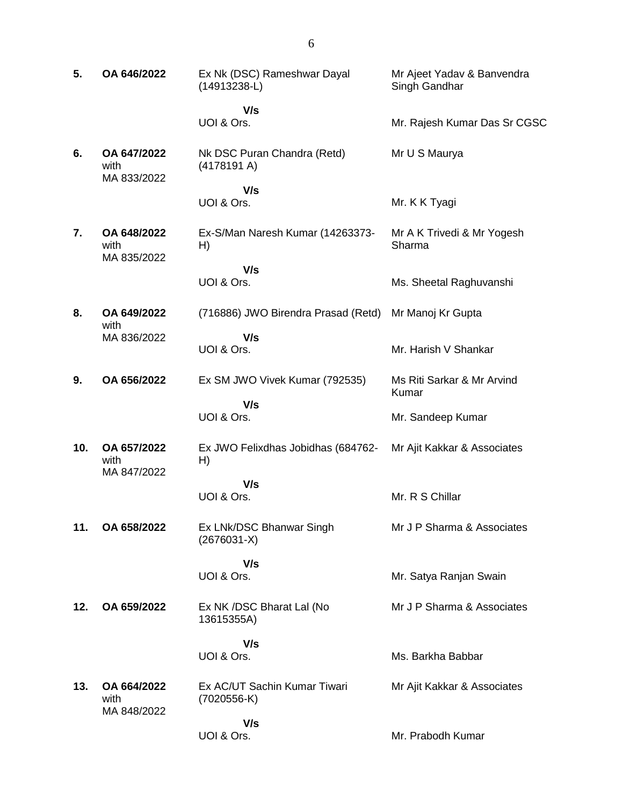| 5.  | OA 646/2022                        | Ex Nk (DSC) Rameshwar Dayal<br>$(14913238-L)$ | Mr Ajeet Yadav & Banvendra<br>Singh Gandhar |
|-----|------------------------------------|-----------------------------------------------|---------------------------------------------|
|     |                                    | V/s<br>UOI & Ors.                             | Mr. Rajesh Kumar Das Sr CGSC                |
| 6.  | OA 647/2022<br>with<br>MA 833/2022 | Nk DSC Puran Chandra (Retd)<br>(4178191 A)    | Mr U S Maurya                               |
|     |                                    | V/s<br>UOI & Ors.                             | Mr. K K Tyagi                               |
| 7.  | OA 648/2022<br>with<br>MA 835/2022 | Ex-S/Man Naresh Kumar (14263373-<br>H)        | Mr A K Trivedi & Mr Yogesh<br>Sharma        |
|     |                                    | V/s<br>UOI & Ors.                             | Ms. Sheetal Raghuvanshi                     |
| 8.  | OA 649/2022<br>with                | (716886) JWO Birendra Prasad (Retd)           | Mr Manoj Kr Gupta                           |
|     | MA 836/2022                        | V/s<br>UOI & Ors.                             | Mr. Harish V Shankar                        |
| 9.  | OA 656/2022                        | Ex SM JWO Vivek Kumar (792535)                | Ms Riti Sarkar & Mr Arvind<br>Kumar         |
|     |                                    | V/s<br>UOI & Ors.                             | Mr. Sandeep Kumar                           |
| 10. | OA 657/2022<br>with<br>MA 847/2022 | Ex JWO Felixdhas Jobidhas (684762-<br>H)      | Mr Ajit Kakkar & Associates                 |
|     |                                    | V/s<br>UOI & Ors.                             | Mr. R S Chillar                             |
| 11. | OA 658/2022                        | Ex LNk/DSC Bhanwar Singh<br>$(2676031-X)$     | Mr J P Sharma & Associates                  |
|     |                                    | V/s<br>UOI & Ors.                             | Mr. Satya Ranjan Swain                      |
| 12. | OA 659/2022                        | Ex NK /DSC Bharat Lal (No<br>13615355A)       | Mr J P Sharma & Associates                  |
|     |                                    | V/s<br>UOI & Ors.                             | Ms. Barkha Babbar                           |
| 13. | OA 664/2022<br>with<br>MA 848/2022 | Ex AC/UT Sachin Kumar Tiwari<br>$(7020556-K)$ | Mr Ajit Kakkar & Associates                 |
|     |                                    | V/s<br>UOI & Ors.                             | Mr. Prabodh Kumar                           |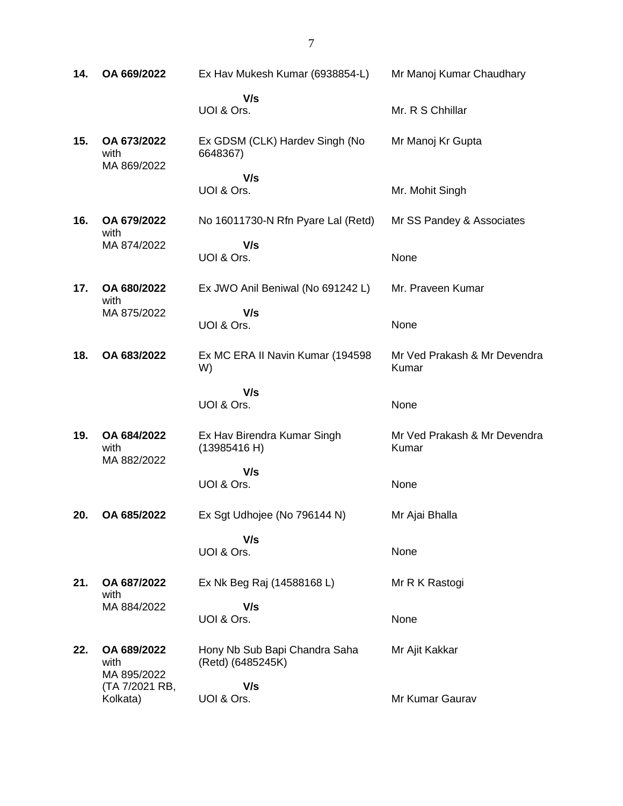**14. OA 669/2022** Ex Hav Mukesh Kumar (6938854-L)  **V/s** UOI & Ors. Mr Manoj Kumar Chaudhary Mr. R S Chhillar **15. OA 673/2022** with MA 869/2022 Ex GDSM (CLK) Hardev Singh (No 6648367)  **V/s** UOI & Ors. Mr Manoj Kr Gupta Mr. Mohit Singh **16. OA 679/2022** with MA 874/2022 No 16011730-N Rfn Pyare Lal (Retd)  **V/s** UOI & Ors. Mr SS Pandey & Associates None **17. OA 680/2022** with MA 875/2022 Ex JWO Anil Beniwal (No 691242 L)  **V/s** UOI & Ors. Mr. Praveen Kumar None **18. OA 683/2022** Ex MC ERA II Navin Kumar (194598 W)  **V/s** UOI & Ors. Mr Ved Prakash & Mr Devendra Kumar None **19. OA 684/2022** with MA 882/2022 Ex Hav Birendra Kumar Singh (13985416 H)  **V/s** UOI & Ors. Mr Ved Prakash & Mr Devendra Kumar None **20. OA 685/2022** Ex Sgt Udhojee (No 796144 N)  **V/s** UOI & Ors. Mr Ajai Bhalla None **21. OA 687/2022** with MA 884/2022 Ex Nk Beg Raj (14588168 L)  **V/s** UOI & Ors. Mr R K Rastogi None **22. OA 689/2022** with MA 895/2022 (TA 7/2021 RB, Kolkata) Hony Nb Sub Bapi Chandra Saha (Retd) (6485245K)  **V/s** UOI & Ors. Mr Ajit Kakkar Mr Kumar Gaurav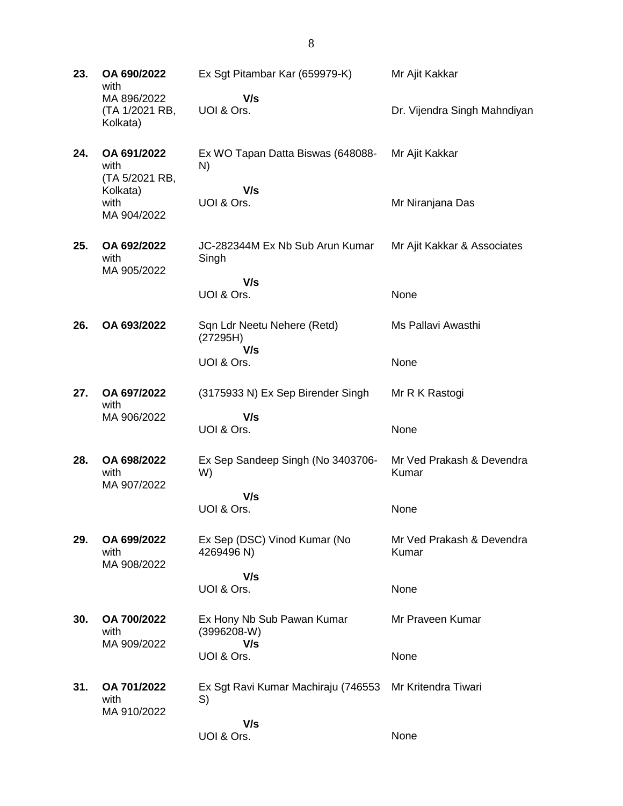| 23. | OA 690/2022<br>with                       | Ex Sgt Pitambar Kar (659979-K)                 | Mr Ajit Kakkar                     |
|-----|-------------------------------------------|------------------------------------------------|------------------------------------|
|     | MA 896/2022<br>(TA 1/2021 RB,<br>Kolkata) | V/s<br>UOI & Ors.                              | Dr. Vijendra Singh Mahndiyan       |
| 24. | OA 691/2022<br>with<br>(TA 5/2021 RB,     | Ex WO Tapan Datta Biswas (648088-<br>N)        | Mr Ajit Kakkar                     |
|     | Kolkata)<br>with<br>MA 904/2022           | V/s<br>UOI & Ors.                              | Mr Niranjana Das                   |
| 25. | OA 692/2022<br>with<br>MA 905/2022        | JC-282344M Ex Nb Sub Arun Kumar<br>Singh       | Mr Ajit Kakkar & Associates        |
|     |                                           | V/s<br>UOI & Ors.                              | None                               |
|     |                                           |                                                |                                    |
| 26. | OA 693/2022                               | Sqn Ldr Neetu Nehere (Retd)<br>(27295H)<br>V/s | Ms Pallavi Awasthi                 |
|     |                                           | UOI & Ors.                                     | None                               |
| 27. | OA 697/2022<br>with                       | (3175933 N) Ex Sep Birender Singh              | Mr R K Rastogi                     |
|     | MA 906/2022                               | V/s<br>UOI & Ors.                              | None                               |
| 28. | OA 698/2022<br>with<br>MA 907/2022        | Ex Sep Sandeep Singh (No 3403706-<br>W)        | Mr Ved Prakash & Devendra<br>Kumar |
|     |                                           | V/s<br>UOI & Ors.                              | None                               |
| 29. | OA 699/2022<br>with<br>MA 908/2022        | Ex Sep (DSC) Vinod Kumar (No<br>4269496 N)     | Mr Ved Prakash & Devendra<br>Kumar |
|     |                                           | V/s<br>UOI & Ors.                              | None                               |
| 30. | OA 700/2022<br>with                       | Ex Hony Nb Sub Pawan Kumar<br>$(3996208-W)$    | Mr Praveen Kumar                   |
|     | MA 909/2022                               | V/s<br>UOI & Ors.                              | None                               |
| 31. | OA 701/2022<br>with<br>MA 910/2022        | Ex Sgt Ravi Kumar Machiraju (746553<br>S)      | Mr Kritendra Tiwari                |
|     |                                           | V/s<br>UOI & Ors.                              | None                               |